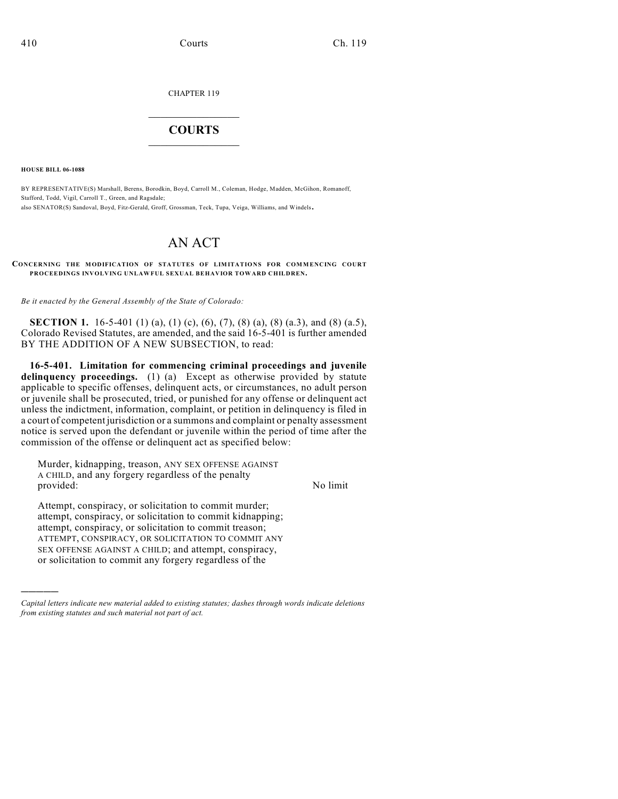CHAPTER 119

## $\mathcal{L}_\text{max}$  . The set of the set of the set of the set of the set of the set of the set of the set of the set of the set of the set of the set of the set of the set of the set of the set of the set of the set of the set **COURTS**  $\_$   $\_$   $\_$   $\_$   $\_$   $\_$   $\_$   $\_$

**HOUSE BILL 06-1088**

)))))

BY REPRESENTATIVE(S) Marshall, Berens, Borodkin, Boyd, Carroll M., Coleman, Hodge, Madden, McGihon, Romanoff, Stafford, Todd, Vigil, Carroll T., Green, and Ragsdale; also SENATOR(S) Sandoval, Boyd, Fitz-Gerald, Groff, Grossman, Teck, Tupa, Veiga, Williams, and Windels.

## AN ACT

**CONCERNING THE MODIFICATION OF STATUTES OF LIMITATIONS FOR COMMENCING COURT PROCEEDINGS INVOLVING UNLAWFUL SEXUAL BEHAVIOR TOWARD CHILDREN.**

*Be it enacted by the General Assembly of the State of Colorado:*

**SECTION 1.** 16-5-401 (1) (a), (1) (c), (6), (7), (8) (a), (8) (a.3), and (8) (a.5), Colorado Revised Statutes, are amended, and the said 16-5-401 is further amended BY THE ADDITION OF A NEW SUBSECTION, to read:

**16-5-401. Limitation for commencing criminal proceedings and juvenile** delinquency proceedings. (1) (a) Except as otherwise provided by statute applicable to specific offenses, delinquent acts, or circumstances, no adult person or juvenile shall be prosecuted, tried, or punished for any offense or delinquent act unless the indictment, information, complaint, or petition in delinquency is filed in a court of competent jurisdiction or a summons and complaint or penalty assessment notice is served upon the defendant or juvenile within the period of time after the commission of the offense or delinquent act as specified below:

Murder, kidnapping, treason, ANY SEX OFFENSE AGAINST A CHILD, and any forgery regardless of the penalty provided: No limit

Attempt, conspiracy, or solicitation to commit murder; attempt, conspiracy, or solicitation to commit kidnapping; attempt, conspiracy, or solicitation to commit treason; ATTEMPT, CONSPIRACY, OR SOLICITATION TO COMMIT ANY SEX OFFENSE AGAINST A CHILD; and attempt, conspiracy, or solicitation to commit any forgery regardless of the

*Capital letters indicate new material added to existing statutes; dashes through words indicate deletions from existing statutes and such material not part of act.*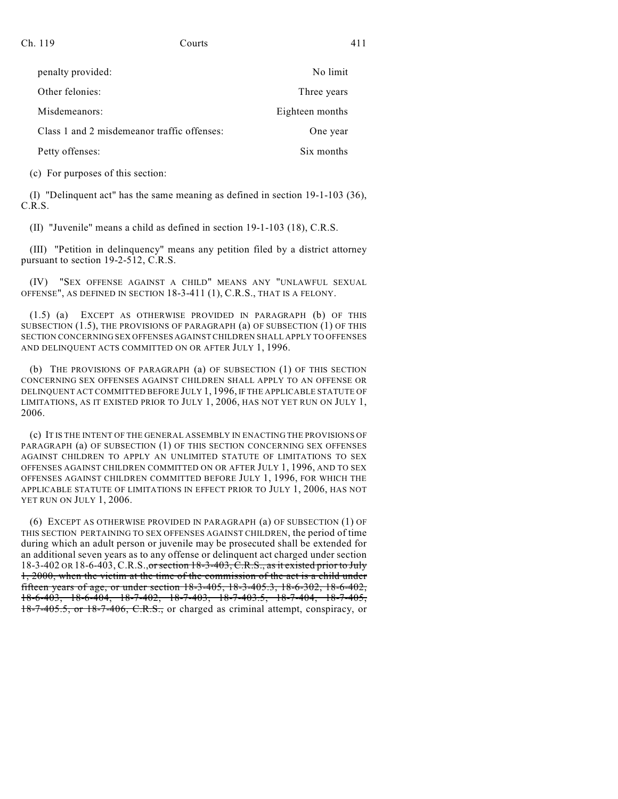| penalty provided:                           | No limit        |
|---------------------------------------------|-----------------|
| Other felonies:                             | Three years     |
| Misdemeanors:                               | Eighteen months |
| Class 1 and 2 misdemeanor traffic offenses: | One year        |
| Petty offenses:                             | Six months      |

(c) For purposes of this section:

(I) "Delinquent act" has the same meaning as defined in section 19-1-103 (36), C.R.S.

(II) "Juvenile" means a child as defined in section 19-1-103 (18), C.R.S.

(III) "Petition in delinquency" means any petition filed by a district attorney pursuant to section 19-2-512, C.R.S.

(IV) "SEX OFFENSE AGAINST A CHILD" MEANS ANY "UNLAWFUL SEXUAL OFFENSE", AS DEFINED IN SECTION 18-3-411 (1), C.R.S., THAT IS A FELONY.

(1.5) (a) EXCEPT AS OTHERWISE PROVIDED IN PARAGRAPH (b) OF THIS SUBSECTION (1.5), THE PROVISIONS OF PARAGRAPH (a) OF SUBSECTION (1) OF THIS SECTION CONCERNING SEX OFFENSES AGAINST CHILDREN SHALL APPLY TO OFFENSES AND DELINQUENT ACTS COMMITTED ON OR AFTER JULY 1, 1996.

(b) THE PROVISIONS OF PARAGRAPH (a) OF SUBSECTION (1) OF THIS SECTION CONCERNING SEX OFFENSES AGAINST CHILDREN SHALL APPLY TO AN OFFENSE OR DELINQUENT ACT COMMITTED BEFORE JULY 1, 1996, IF THE APPLICABLE STATUTE OF LIMITATIONS, AS IT EXISTED PRIOR TO JULY 1, 2006, HAS NOT YET RUN ON JULY 1, 2006.

(c) IT IS THE INTENT OF THE GENERAL ASSEMBLY IN ENACTING THE PROVISIONS OF PARAGRAPH (a) OF SUBSECTION (1) OF THIS SECTION CONCERNING SEX OFFENSES AGAINST CHILDREN TO APPLY AN UNLIMITED STATUTE OF LIMITATIONS TO SEX OFFENSES AGAINST CHILDREN COMMITTED ON OR AFTER JULY 1, 1996, AND TO SEX OFFENSES AGAINST CHILDREN COMMITTED BEFORE JULY 1, 1996, FOR WHICH THE APPLICABLE STATUTE OF LIMITATIONS IN EFFECT PRIOR TO JULY 1, 2006, HAS NOT YET RUN ON JULY 1, 2006.

(6) EXCEPT AS OTHERWISE PROVIDED IN PARAGRAPH (a) OF SUBSECTION (1) OF THIS SECTION PERTAINING TO SEX OFFENSES AGAINST CHILDREN, the period of time during which an adult person or juvenile may be prosecuted shall be extended for an additional seven years as to any offense or delinquent act charged under section 18-3-402 OR 18-6-403, C.R.S., or section 18-3-403, C.R.S., as it existed prior to July 1, 2000, when the victim at the time of the commission of the act is a child under fifteen years of age, or under section 18-3-405, 18-3-405.3, 18-6-302, 18-6-402, 18-6-403, 18-6-404, 18-7-402, 18-7-403, 18-7-403.5, 18-7-404, 18-7-405, 18-7-405.5, or 18-7-406, C.R.S., or charged as criminal attempt, conspiracy, or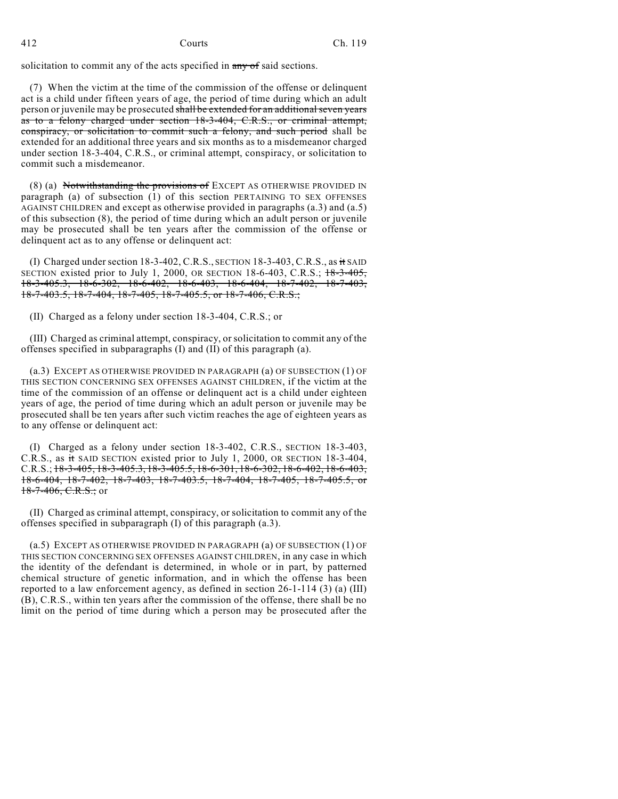solicitation to commit any of the acts specified in any of said sections.

(7) When the victim at the time of the commission of the offense or delinquent act is a child under fifteen years of age, the period of time during which an adult person or juvenile may be prosecuted shall be extended for an additional seven years as to a felony charged under section 18-3-404, C.R.S., or criminal attempt, conspiracy, or solicitation to commit such a felony, and such period shall be extended for an additional three years and six months as to a misdemeanor charged under section 18-3-404, C.R.S., or criminal attempt, conspiracy, or solicitation to commit such a misdemeanor.

(8) (a) Notwithstanding the provisions of EXCEPT AS OTHERWISE PROVIDED IN paragraph (a) of subsection (1) of this section PERTAINING TO SEX OFFENSES AGAINST CHILDREN and except as otherwise provided in paragraphs (a.3) and (a.5) of this subsection (8), the period of time during which an adult person or juvenile may be prosecuted shall be ten years after the commission of the offense or delinquent act as to any offense or delinquent act:

(I) Charged under section  $18-3-402$ , C.R.S., SECTION  $18-3-403$ , C.R.S., as it SAID SECTION existed prior to July 1, 2000, OR SECTION 18-6-403, C.R.S.;  $+8-3-405$ , 18-3-405.3, 18-6-302, 18-6-402, 18-6-403, 18-6-404, 18-7-402, 18-7-403, 18-7-403.5, 18-7-404, 18-7-405, 18-7-405.5, or 18-7-406, C.R.S.;

(II) Charged as a felony under section 18-3-404, C.R.S.; or

(III) Charged as criminal attempt, conspiracy, or solicitation to commit any of the offenses specified in subparagraphs (I) and (II) of this paragraph (a).

(a.3) EXCEPT AS OTHERWISE PROVIDED IN PARAGRAPH (a) OF SUBSECTION (1) OF THIS SECTION CONCERNING SEX OFFENSES AGAINST CHILDREN, if the victim at the time of the commission of an offense or delinquent act is a child under eighteen years of age, the period of time during which an adult person or juvenile may be prosecuted shall be ten years after such victim reaches the age of eighteen years as to any offense or delinquent act:

(I) Charged as a felony under section 18-3-402, C.R.S., SECTION 18-3-403, C.R.S., as it SAID SECTION existed prior to July 1, 2000, OR SECTION 18-3-404, C.R.S.; 18-3-405, 18-3-405.3, 18-3-405.5, 18-6-301, 18-6-302, 18-6-402, 18-6-403, 18-6-404, 18-7-402, 18-7-403, 18-7-403.5, 18-7-404, 18-7-405, 18-7-405.5, or  $18-7-406, C.R.S.;$  or

(II) Charged as criminal attempt, conspiracy, or solicitation to commit any of the offenses specified in subparagraph (I) of this paragraph (a.3).

(a.5) EXCEPT AS OTHERWISE PROVIDED IN PARAGRAPH (a) OF SUBSECTION (1) OF THIS SECTION CONCERNING SEX OFFENSES AGAINST CHILDREN, in any case in which the identity of the defendant is determined, in whole or in part, by patterned chemical structure of genetic information, and in which the offense has been reported to a law enforcement agency, as defined in section  $26-1-114$  (3) (a) (III) (B), C.R.S., within ten years after the commission of the offense, there shall be no limit on the period of time during which a person may be prosecuted after the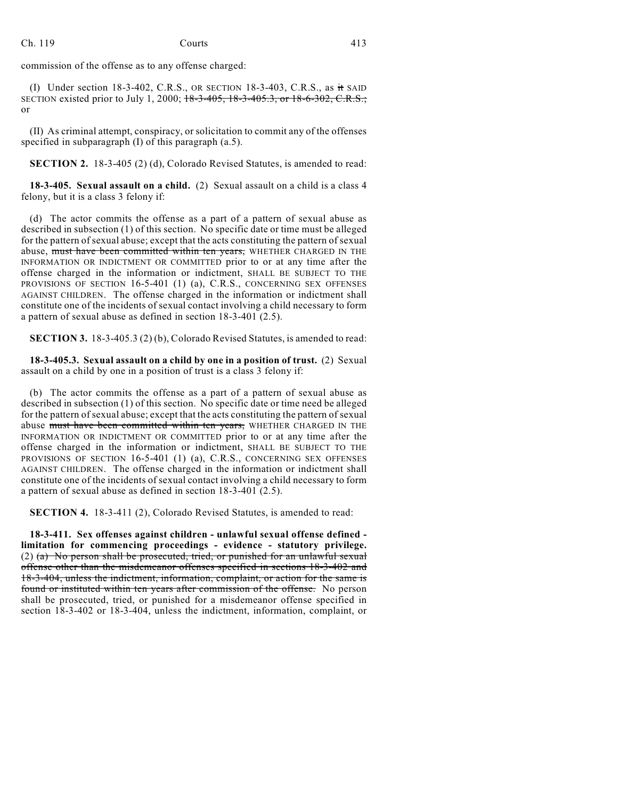Ch. 119 Courts 413

commission of the offense as to any offense charged:

(I) Under section 18-3-402, C.R.S., OR SECTION 18-3-403, C.R.S., as it SAID SECTION existed prior to July 1, 2000; 18-3-405, 18-3-405.3, or 18-6-302, C.R.S.; or

(II) As criminal attempt, conspiracy, or solicitation to commit any of the offenses specified in subparagraph (I) of this paragraph (a.5).

**SECTION 2.** 18-3-405 (2) (d), Colorado Revised Statutes, is amended to read:

**18-3-405. Sexual assault on a child.** (2) Sexual assault on a child is a class 4 felony, but it is a class 3 felony if:

(d) The actor commits the offense as a part of a pattern of sexual abuse as described in subsection (1) of this section. No specific date or time must be alleged for the pattern of sexual abuse; except that the acts constituting the pattern of sexual abuse, must have been committed within ten years, WHETHER CHARGED IN THE INFORMATION OR INDICTMENT OR COMMITTED prior to or at any time after the offense charged in the information or indictment, SHALL BE SUBJECT TO THE PROVISIONS OF SECTION 16-5-401 (1) (a), C.R.S., CONCERNING SEX OFFENSES AGAINST CHILDREN. The offense charged in the information or indictment shall constitute one of the incidents of sexual contact involving a child necessary to form a pattern of sexual abuse as defined in section 18-3-401 (2.5).

**SECTION 3.** 18-3-405.3 (2) (b), Colorado Revised Statutes, is amended to read:

**18-3-405.3. Sexual assault on a child by one in a position of trust.** (2) Sexual assault on a child by one in a position of trust is a class 3 felony if:

(b) The actor commits the offense as a part of a pattern of sexual abuse as described in subsection (1) of this section. No specific date or time need be alleged for the pattern of sexual abuse; except that the acts constituting the pattern of sexual abuse must have been committed within ten years, WHETHER CHARGED IN THE INFORMATION OR INDICTMENT OR COMMITTED prior to or at any time after the offense charged in the information or indictment, SHALL BE SUBJECT TO THE PROVISIONS OF SECTION 16-5-401 (1) (a), C.R.S., CONCERNING SEX OFFENSES AGAINST CHILDREN. The offense charged in the information or indictment shall constitute one of the incidents of sexual contact involving a child necessary to form a pattern of sexual abuse as defined in section 18-3-401 (2.5).

**SECTION 4.** 18-3-411 (2), Colorado Revised Statutes, is amended to read:

**18-3-411. Sex offenses against children - unlawful sexual offense defined limitation for commencing proceedings - evidence - statutory privilege.** (2)  $(a)$  No person shall be prosecuted, tried, or punished for an unlawful sexual offense other than the misdemeanor offenses specified in sections 18-3-402 and 18-3-404, unless the indictment, information, complaint, or action for the same is found or instituted within ten years after commission of the offense. No person shall be prosecuted, tried, or punished for a misdemeanor offense specified in section 18-3-402 or 18-3-404, unless the indictment, information, complaint, or